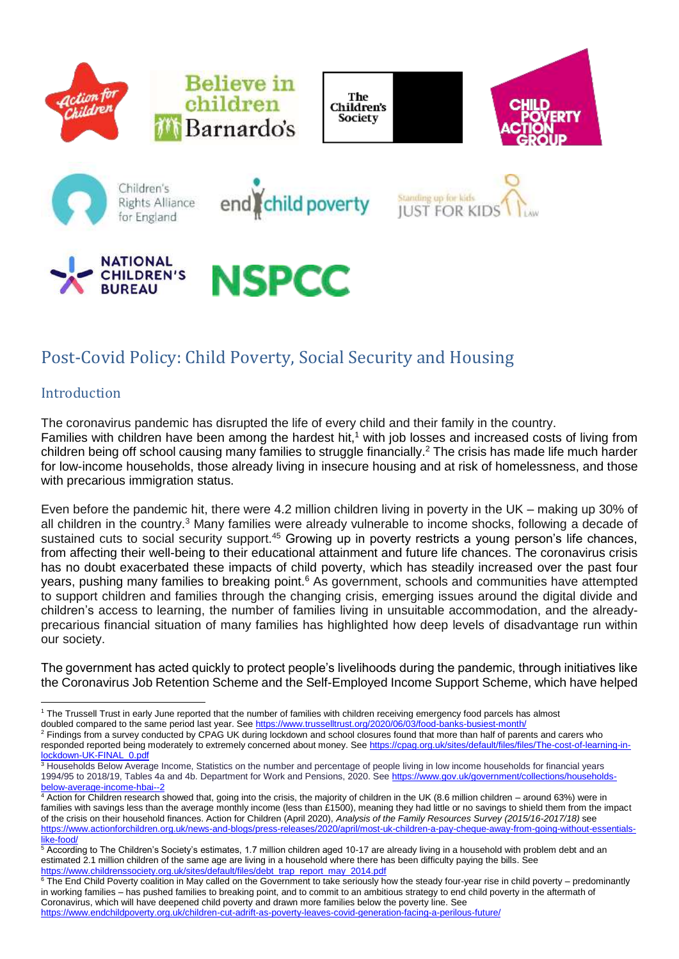

# Post-Covid Policy: Child Poverty, Social Security and Housing

# Introduction

The coronavirus pandemic has disrupted the life of every child and their family in the country. Families with children have been among the hardest hit,<sup>1</sup> with job losses and increased costs of living from children being off school causing many families to struggle financially. <sup>2</sup> The crisis has made life much harder for low-income households, those already living in insecure housing and at risk of homelessness, and those with precarious immigration status.

Even before the pandemic hit, there were 4.2 million children living in poverty in the UK – making up 30% of all children in the country.<sup>3</sup> Many families were already vulnerable to income shocks, following a decade of sustained cuts to social security support.<sup>45</sup> Growing up in poverty restricts a young person's life chances, from affecting their well-being to their educational attainment and future life chances. The coronavirus crisis has no doubt exacerbated these impacts of child poverty, which has steadily increased over the past four years, pushing many families to breaking point.<sup>6</sup> As government, schools and communities have attempted to support children and families through the changing crisis, emerging issues around the digital divide and children's access to learning, the number of families living in unsuitable accommodation, and the alreadyprecarious financial situation of many families has highlighted how deep levels of disadvantage run within our society.

The government has acted quickly to protect people's livelihoods during the pandemic, through initiatives like the Coronavirus Job Retention Scheme and the Self-Employed Income Support Scheme, which have helped

<sup>2</sup> Findings from a survey conducted by CPAG UK during lockdown and school closures found that more than half of parents and carers who responded reported being moderately to extremely concerned about money. See [https://cpag.org.uk/sites/default/files/files/The-cost-of-learning-in](https://cpag.org.uk/sites/default/files/files/The-cost-of-learning-in-lockdown-UK-FINAL_0.pdf)[lockdown-UK-FINAL\\_0.pdf](https://cpag.org.uk/sites/default/files/files/The-cost-of-learning-in-lockdown-UK-FINAL_0.pdf)

<sup>&</sup>lt;u>.</u> <sup>1</sup> The Trussell Trust in early June reported that the number of families with children receiving emergency food parcels has almost doubled compared to the same period last year. See<https://www.trusselltrust.org/2020/06/03/food-banks-busiest-month/>

<sup>&</sup>lt;sup>3</sup> Households Below Average Income, Statistics on the number and percentage of people living in low income households for financial years 1994/95 to 2018/19, Tables 4a and 4b. Department for Work and Pensions, 2020. See [https://www.gov.uk/government/collections/households](https://www.gov.uk/government/collections/households-below-average-income-hbai--2)[below-average-income-hbai--2](https://www.gov.uk/government/collections/households-below-average-income-hbai--2)

<sup>4</sup> Action for Children research showed that, going into the crisis, the majority of children in the UK (8.6 million children – around 63%) were in families with savings less than the average monthly income (less than £1500), meaning they had little or no savings to shield them from the impact of the crisis on their household finances. Action for Children (April 2020), *Analysis of the Family Resources Survey (2015/16-2017/18)* see [https://www.actionforchildren.org.uk/news-and-blogs/press-releases/2020/april/most-uk-children-a-pay-cheque-away-from-going-without-essentials](https://www.actionforchildren.org.uk/news-and-blogs/press-releases/2020/april/most-uk-children-a-pay-cheque-away-from-going-without-essentials-like-food/)[like-food/](https://www.actionforchildren.org.uk/news-and-blogs/press-releases/2020/april/most-uk-children-a-pay-cheque-away-from-going-without-essentials-like-food/)

<sup>&</sup>lt;sup>5</sup> According to The Children's Society's estimates, 1.7 million children aged 10-17 are already living in a household with problem debt and an estimated 2.1 million children of the same age are living in a household where there has been difficulty paying the bills. See [https://www.childrenssociety.org.uk/sites/default/files/debt\\_trap\\_report\\_may\\_2014.pdf](https://www.childrenssociety.org.uk/sites/default/files/debt_trap_report_may_2014.pdf)

 $6$  The End Child Poverty coalition in May called on the Government to take seriously how the steady four-year rise in child poverty – predominantly in working families – has pushed families to breaking point, and to commit to an ambitious strategy to end child poverty in the aftermath of Coronavirus, which will have deepened child poverty and drawn more families below the poverty line. See

<https://www.endchildpoverty.org.uk/children-cut-adrift-as-poverty-leaves-covid-generation-facing-a-perilous-future/>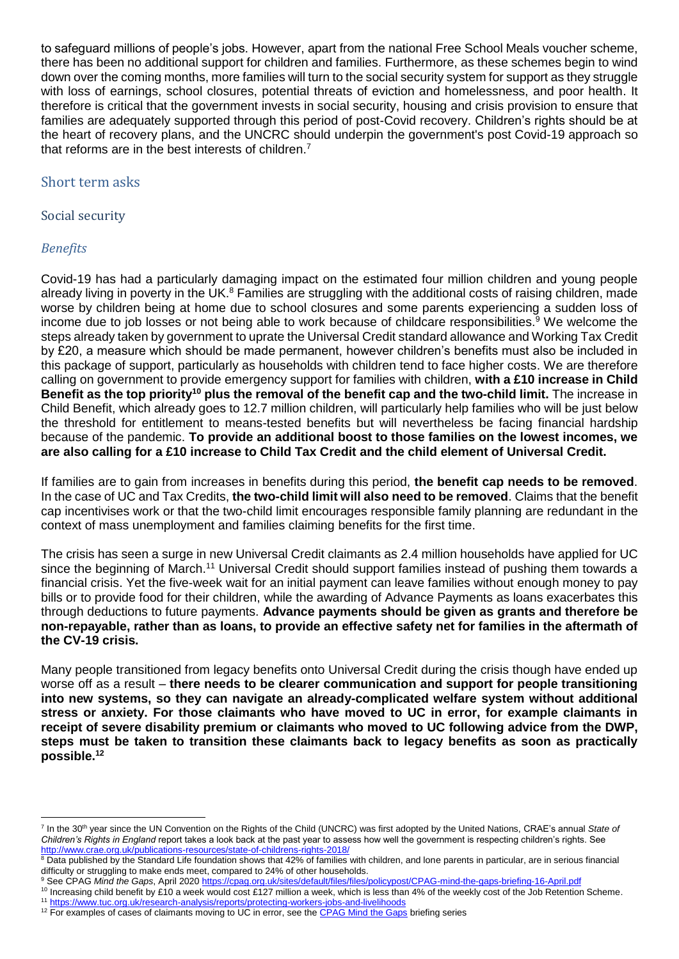to safeguard millions of people's jobs. However, apart from the national Free School Meals voucher scheme, there has been no additional support for children and families. Furthermore, as these schemes begin to wind down over the coming months, more families will turn to the social security system for support as they struggle with loss of earnings, school closures, potential threats of eviction and homelessness, and poor health. It therefore is critical that the government invests in social security, housing and crisis provision to ensure that families are adequately supported through this period of post-Covid recovery. Children's rights should be at the heart of recovery plans, and the UNCRC should underpin the government's post Covid-19 approach so that reforms are in the best interests of children.<sup>7</sup>

#### Short term asks

#### Social security

# *Benefits*

1

Covid-19 has had a particularly damaging impact on the estimated four million children and young people already living in poverty in the UK.<sup>8</sup> Families are struggling with the additional costs of raising children, made worse by children being at home due to school closures and some parents experiencing a sudden loss of income due to job losses or not being able to work because of childcare responsibilities.<sup>9</sup> We welcome the steps already taken by government to uprate the Universal Credit standard allowance and Working Tax Credit by £20, a measure which should be made permanent, however children's benefits must also be included in this package of support, particularly as households with children tend to face higher costs. We are therefore calling on government to provide emergency support for families with children, **with a £10 increase in Child Benefit as the top priority<sup>10</sup> plus the removal of the benefit cap and the two-child limit.** The increase in Child Benefit, which already goes to 12.7 million children, will particularly help families who will be just below the threshold for entitlement to means-tested benefits but will nevertheless be facing financial hardship because of the pandemic. **To provide an additional boost to those families on the lowest incomes, we are also calling for a £10 increase to Child Tax Credit and the child element of Universal Credit.** 

If families are to gain from increases in benefits during this period, **the benefit cap needs to be removed**. In the case of UC and Tax Credits, **the two-child limit will also need to be removed**. Claims that the benefit cap incentivises work or that the two-child limit encourages responsible family planning are redundant in the context of mass unemployment and families claiming benefits for the first time.

The crisis has seen a surge in new Universal Credit claimants as 2.4 million households have applied for UC since the beginning of March.<sup>11</sup> Universal Credit should support families instead of pushing them towards a financial crisis. Yet the five-week wait for an initial payment can leave families without enough money to pay bills or to provide food for their children, while the awarding of Advance Payments as loans exacerbates this through deductions to future payments. **Advance payments should be given as grants and therefore be non-repayable, rather than as loans, to provide an effective safety net for families in the aftermath of the CV-19 crisis.**

Many people transitioned from legacy benefits onto Universal Credit during the crisis though have ended up worse off as a result – **there needs to be clearer communication and support for people transitioning into new systems, so they can navigate an already-complicated welfare system without additional stress or anxiety. For those claimants who have moved to UC in error, for example claimants in receipt of severe disability premium or claimants who moved to UC following advice from the DWP, steps must be taken to transition these claimants back to legacy benefits as soon as practically possible.<sup>12</sup>**

<sup>&</sup>lt;sup>7</sup> In the 30<sup>th</sup> year since the UN Convention on the Rights of the Child (UNCRC) was first adopted by the United Nations, CRAE's annual State of *Children's Rights in England* report takes a look back at the past year to assess how well the government is respecting children's rights. See <http://www.crae.org.uk/publications-resources/state-of-childrens-rights-2018/>

<sup>&</sup>lt;sup>8</sup> Data published by the Standard Life foundation shows that 42% of families with children, and lone parents in particular, are in serious financial difficulty or struggling to make ends meet, compared to 24% of other households.

<sup>9</sup> See CPAG *Mind the Gaps*, April 2020 <https://cpag.org.uk/sites/default/files/files/policypost/CPAG-mind-the-gaps-briefing-16-April.pdf>

<sup>&</sup>lt;sup>10</sup> Increasing child benefit by £10 a week would cost £127 million a week, which is less than 4% of the weekly cost of the Job Retention Scheme. <sup>11</sup> <https://www.tuc.org.uk/research-analysis/reports/protecting-workers-jobs-and-livelihoods>

<sup>&</sup>lt;sup>12</sup> For examples of cases of claimants moving to UC in error, see th[e CPAG Mind the Gaps](https://cpag.org.uk/coronavirus) briefing series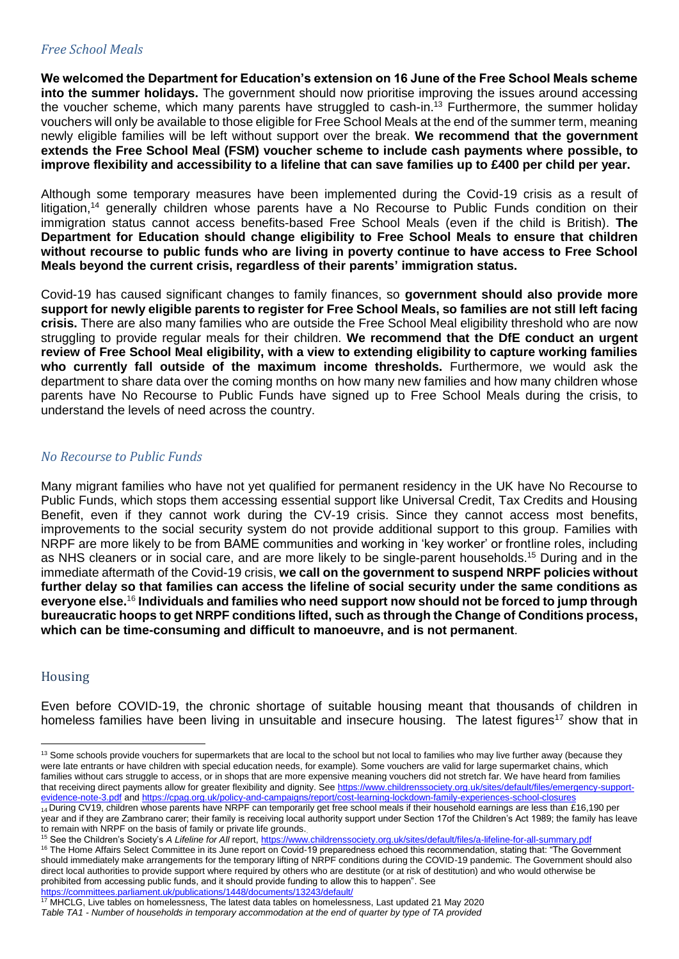#### *Free School Meals*

**We welcomed the Department for Education's extension on 16 June of the Free School Meals scheme into the summer holidays.** The government should now prioritise improving the issues around accessing the voucher scheme, which many parents have struggled to cash-in.<sup>13</sup> Furthermore, the summer holiday vouchers will only be available to those eligible for Free School Meals at the end of the summer term, meaning newly eligible families will be left without support over the break. **We recommend that the government extends the Free School Meal (FSM) voucher scheme to include cash payments where possible, to improve flexibility and accessibility to a lifeline that can save families up to £400 per child per year.**

Although some temporary measures have been implemented during the Covid-19 crisis as a result of litigation,<sup>14</sup> generally children whose parents have a No Recourse to Public Funds condition on their immigration status cannot access benefits-based Free School Meals (even if the child is British). **The Department for Education should change eligibility to Free School Meals to ensure that children without recourse to public funds who are living in poverty continue to have access to Free School Meals beyond the current crisis, regardless of their parents' immigration status.** 

Covid-19 has caused significant changes to family finances, so **government should also provide more support for newly eligible parents to register for Free School Meals, so families are not still left facing crisis.** There are also many families who are outside the Free School Meal eligibility threshold who are now struggling to provide regular meals for their children. **We recommend that the DfE conduct an urgent review of Free School Meal eligibility, with a view to extending eligibility to capture working families who currently fall outside of the maximum income thresholds.** Furthermore, we would ask the department to share data over the coming months on how many new families and how many children whose parents have No Recourse to Public Funds have signed up to Free School Meals during the crisis, to understand the levels of need across the country.

#### *No Recourse to Public Funds*

Many migrant families who have not yet qualified for permanent residency in the UK have No Recourse to Public Funds, which stops them accessing essential support like Universal Credit, Tax Credits and Housing Benefit, even if they cannot work during the CV-19 crisis. Since they cannot access most benefits, improvements to the social security system do not provide additional support to this group. Families with NRPF are more likely to be from BAME communities and working in 'key worker' or frontline roles, including as NHS cleaners or in social care, and are more likely to be single-parent households.<sup>15</sup> During and in the immediate aftermath of the Covid-19 crisis, **we call on the government to suspend NRPF policies without further delay so that families can access the lifeline of social security under the same conditions as everyone else.**<sup>16</sup> **Individuals and families who need support now should not be forced to jump through bureaucratic hoops to get NRPF conditions lifted, such as through the Change of Conditions process, which can be time-consuming and difficult to manoeuvre, and is not permanent**.

# Housing

1

Even before COVID-19, the chronic shortage of suitable housing meant that thousands of children in homeless families have been living in unsuitable and insecure housing. The latest figures<sup>17</sup> show that in

<sup>&</sup>lt;sup>13</sup> Some schools provide vouchers for supermarkets that are local to the school but not local to families who may live further away (because they were late entrants or have children with special education needs, for example). Some vouchers are valid for large supermarket chains, which families without cars struggle to access, or in shops that are more expensive meaning vouchers did not stretch far. We have heard from families that receiving direct payments allow for greater flexibility and dignity. See [https://www.childrenssociety.org.uk/sites/default/files/emergency-support](https://www.childrenssociety.org.uk/sites/default/files/emergency-support-evidence-note-3.pdf)[evidence-note-3.pdf](https://www.childrenssociety.org.uk/sites/default/files/emergency-support-evidence-note-3.pdf) an[d https://cpag.org.uk/policy-and-campaigns/report/cost-learning-lockdown-family-experiences-school-closures](https://cpag.org.uk/policy-and-campaigns/report/cost-learning-lockdown-family-experiences-school-closures)

<sup>14</sup> During CV19, children whose parents have NRPF can temporarily get free school meals if their household earnings are less than £16,190 per year and if they are Zambrano carer; their family is receiving local authority support under Section 17of the Children's Act 1989; the family has leave to remain with NRPF on the basis of family or private life grounds..

<sup>&</sup>lt;sup>15</sup> See the Children's Society's A Lifeline for All report,<https://www.childrenssociety.org.uk/sites/default/files/a-lifeline-for-all-summary.pdf>

<sup>&</sup>lt;sup>16</sup> The Home Affairs Select Committee in its June report on Covid-19 preparedness echoed this recommendation, stating that: "The Government should immediately make arrangements for the temporary lifting of NRPF conditions during the COVID-19 pandemic. The Government should also direct local authorities to provide support where required by others who are destitute (or at risk of destitution) and who would otherwise be prohibited from accessing public funds, and it should provide funding to allow this to happen". See <https://committees.parliament.uk/publications/1448/documents/13243/default/>

<sup>17</sup> MHCLG, Live tables on homelessness, The latest data tables on homelessness, Last updated 21 May 2020 *Table TA1 - Number of households in temporary accommodation at the end of quarter by type of TA provided*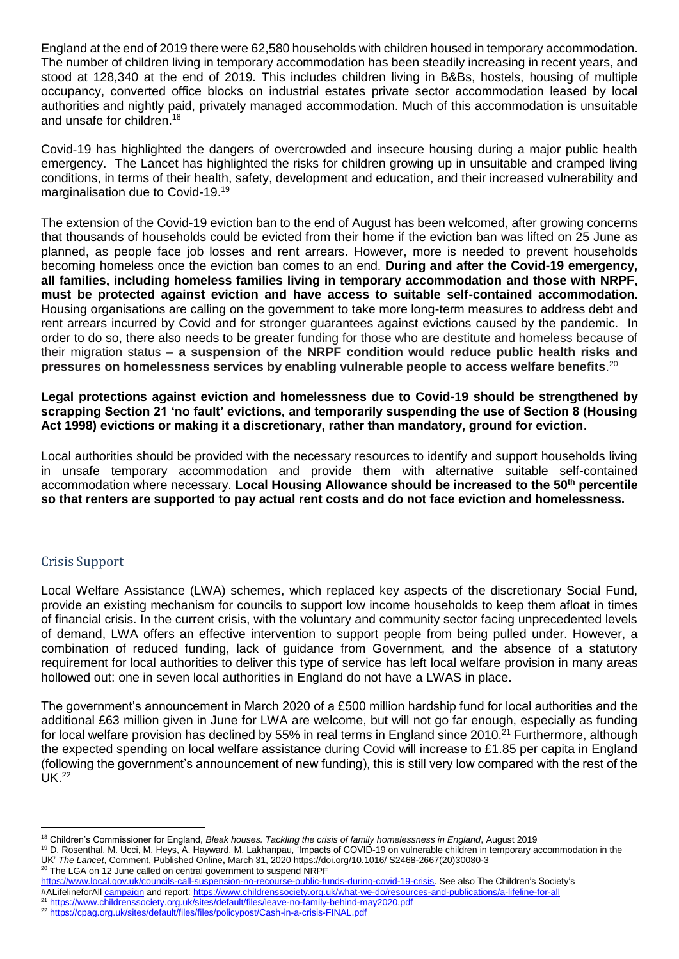England at the end of 2019 there were 62,580 households with children housed in temporary accommodation. The number of children living in temporary accommodation has been steadily increasing in recent years, and stood at 128,340 at the end of 2019. This includes children living in B&Bs, hostels, housing of multiple occupancy, converted office blocks on industrial estates private sector accommodation leased by local authorities and nightly paid, privately managed accommodation. Much of this accommodation is unsuitable and unsafe for children. 18

Covid-19 has highlighted the dangers of overcrowded and insecure housing during a major public health emergency. The Lancet has highlighted the risks for children growing up in unsuitable and cramped living conditions, in terms of their health, safety, development and education, and their increased vulnerability and marginalisation due to Covid-19.<sup>19</sup>

The extension of the Covid-19 eviction ban to the end of August has been welcomed, after growing concerns that thousands of households could be evicted from their home if the eviction ban was lifted on 25 June as planned, as people face job losses and rent arrears. However, more is needed to prevent households becoming homeless once the eviction ban comes to an end. **During and after the Covid-19 emergency, all families, including homeless families living in temporary accommodation and those with NRPF, must be protected against eviction and have access to suitable self-contained accommodation.** Housing organisations are calling on the government to take more long-term measures to address debt and rent arrears incurred by Covid and for stronger guarantees against evictions caused by the pandemic. In order to do so, there also needs to be greater funding for those who are destitute and homeless because of their migration status – **a suspension of the NRPF condition would reduce public health risks and pressures on homelessness services by enabling vulnerable people to access welfare benefits**. 20

**Legal protections against eviction and homelessness due to Covid-19 should be strengthened by scrapping Section 21 'no fault' evictions, and temporarily suspending the use of Section 8 (Housing Act 1998) evictions or making it a discretionary, rather than mandatory, ground for eviction**.

Local authorities should be provided with the necessary resources to identify and support households living in unsafe temporary accommodation and provide them with alternative suitable self-contained accommodation where necessary. **Local Housing Allowance should be increased to the 50th percentile so that renters are supported to pay actual rent costs and do not face eviction and homelessness.**

# Crisis Support

1

Local Welfare Assistance (LWA) schemes, which replaced key aspects of the discretionary Social Fund, provide an existing mechanism for councils to support low income households to keep them afloat in times of financial crisis. In the current crisis, with the voluntary and community sector facing unprecedented levels of demand, LWA offers an effective intervention to support people from being pulled under. However, a combination of reduced funding, lack of guidance from Government, and the absence of a statutory requirement for local authorities to deliver this type of service has left local welfare provision in many areas hollowed out: one in seven local authorities in England do not have a LWAS in place.

The government's announcement in March 2020 of a £500 million hardship fund for local authorities and the additional £63 million given in June for LWA are welcome, but will not go far enough, especially as funding for local welfare provision has declined by 55% in real terms in England since 2010.<sup>21</sup> Furthermore, although the expected spending on local welfare assistance during Covid will increase to £1.85 per capita in England (following the government's announcement of new funding), this is still very low compared with the rest of the  $UK<sup>22</sup>$ 

<sup>20</sup> The LGA on 12 June called on central government to suspend NRPF [https://www.local.gov.uk/councils-call-suspension-no-recourse-public-funds-during-covid-19-crisis.](https://www.local.gov.uk/councils-call-suspension-no-recourse-public-funds-during-covid-19-crisis) See also The Children's Society's #ALifelineforAl[l campaign](https://www.childrenssociety.org.uk/news-and-blogs/our-blog/government-lifeline-for-all) and report[: https://www.childrenssociety.org.uk/what-we-do/resources-and-publications/a-lifeline-for-all](https://www.childrenssociety.org.uk/what-we-do/resources-and-publications/a-lifeline-for-all)

<sup>21</sup> <https://www.childrenssociety.org.uk/sites/default/files/leave-no-family-behind-may2020.pdf>

<sup>18</sup> Children's Commissioner for England, *Bleak houses. Tackling the crisis of family homelessness in England*, August 2019

<sup>19</sup> D. Rosenthal, M. Ucci, M. Heys, A. Hayward, M. Lakhanpau*,* 'Impacts of COVID-19 on vulnerable children in temporary accommodation in the UK' *The Lancet*, Comment, Published Online**,** March 31, 2020 https://doi.org/10.1016/ S2468-2667(20)30080-3

<sup>22</sup> <https://cpag.org.uk/sites/default/files/files/policypost/Cash-in-a-crisis-FINAL.pdf>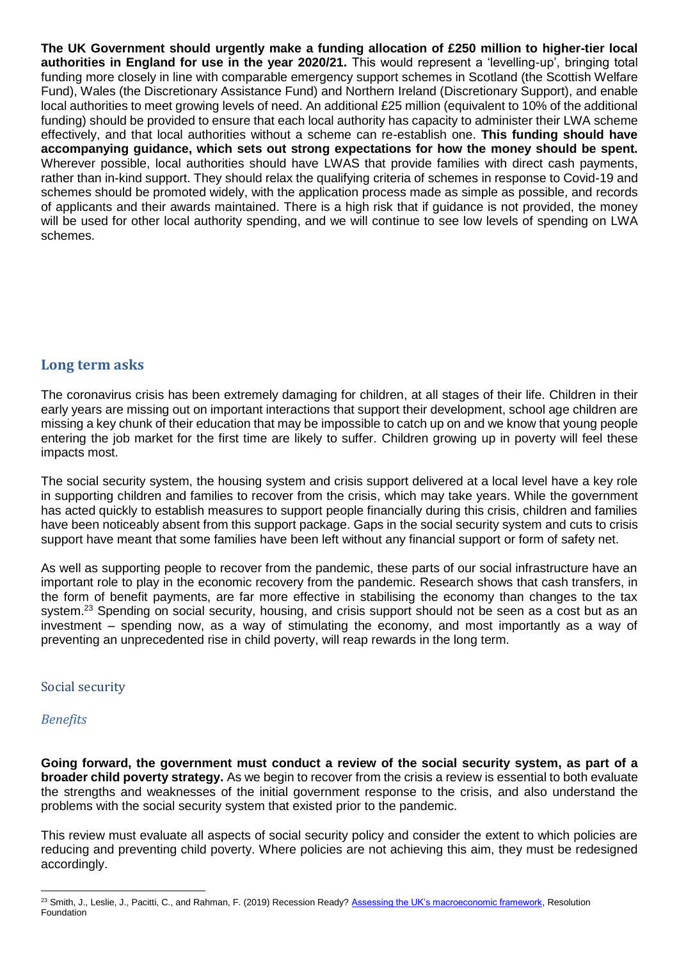**The UK Government should urgently make a funding allocation of £250 million to higher-tier local authorities in England for use in the year 2020/21.** This would represent a 'levelling-up', bringing total funding more closely in line with comparable emergency support schemes in Scotland (the Scottish Welfare Fund), Wales (the Discretionary Assistance Fund) and Northern Ireland (Discretionary Support), and enable local authorities to meet growing levels of need. An additional £25 million (equivalent to 10% of the additional funding) should be provided to ensure that each local authority has capacity to administer their LWA scheme effectively, and that local authorities without a scheme can re-establish one. **This funding should have accompanying guidance, which sets out strong expectations for how the money should be spent.** Wherever possible, local authorities should have LWAS that provide families with direct cash payments, rather than in-kind support. They should relax the qualifying criteria of schemes in response to Covid-19 and schemes should be promoted widely, with the application process made as simple as possible, and records of applicants and their awards maintained. There is a high risk that if guidance is not provided, the money will be used for other local authority spending, and we will continue to see low levels of spending on LWA schemes.

# **Long term asks**

The coronavirus crisis has been extremely damaging for children, at all stages of their life. Children in their early years are missing out on important interactions that support their development, school age children are missing a key chunk of their education that may be impossible to catch up on and we know that young people entering the job market for the first time are likely to suffer. Children growing up in poverty will feel these impacts most.

The social security system, the housing system and crisis support delivered at a local level have a key role in supporting children and families to recover from the crisis, which may take years. While the government has acted quickly to establish measures to support people financially during this crisis, children and families have been noticeably absent from this support package. Gaps in the social security system and cuts to crisis support have meant that some families have been left without any financial support or form of safety net.

As well as supporting people to recover from the pandemic, these parts of our social infrastructure have an important role to play in the economic recovery from the pandemic. Research shows that cash transfers, in the form of benefit payments, are far more effective in stabilising the economy than changes to the tax system.<sup>23</sup> Spending on social security, housing, and crisis support should not be seen as a cost but as an investment – spending now, as a way of stimulating the economy, and most importantly as a way of preventing an unprecedented rise in child poverty, will reap rewards in the long term.

#### Social security

# *Benefits*

**Going forward, the government must conduct a review of the social security system, as part of a broader child poverty strategy.** As we begin to recover from the crisis a review is essential to both evaluate the strengths and weaknesses of the initial government response to the crisis, and also understand the problems with the social security system that existed prior to the pandemic.

This review must evaluate all aspects of social security policy and consider the extent to which policies are reducing and preventing child poverty. Where policies are not achieving this aim, they must be redesigned accordingly.

<sup>1</sup> <sup>23</sup> Smith, J., Leslie, J., Pacitti, C., and Rahman, F. (2019) Recession Ready? [Assessing the UK's macroeconomic framework,](https://www.resolutionfoundation.org/app/uploads/2019/09/MPU-paper.pdf) Resolution Foundation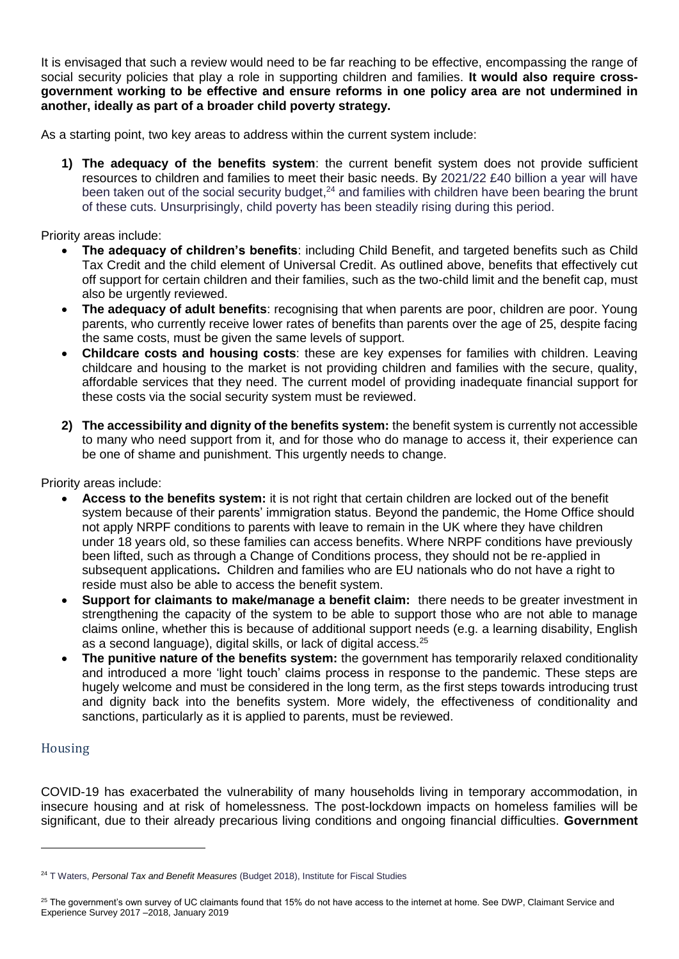It is envisaged that such a review would need to be far reaching to be effective, encompassing the range of social security policies that play a role in supporting children and families. **It would also require crossgovernment working to be effective and ensure reforms in one policy area are not undermined in another, ideally as part of a broader child poverty strategy.** 

As a starting point, two key areas to address within the current system include:

**1) The adequacy of the benefits system**: the current benefit system does not provide sufficient resources to children and families to meet their basic needs. By 2021/22 £40 billion a year will have been taken out of the social security budget, $24$  and families with children have been bearing the brunt of these cuts. Unsurprisingly, child poverty has been steadily rising during this period.

Priority areas include:

- **The adequacy of children's benefits**: including Child Benefit, and targeted benefits such as Child Tax Credit and the child element of Universal Credit. As outlined above, benefits that effectively cut off support for certain children and their families, such as the two-child limit and the benefit cap, must also be urgently reviewed.
- **The adequacy of adult benefits**: recognising that when parents are poor, children are poor. Young parents, who currently receive lower rates of benefits than parents over the age of 25, despite facing the same costs, must be given the same levels of support.
- **Childcare costs and housing costs**: these are key expenses for families with children. Leaving childcare and housing to the market is not providing children and families with the secure, quality, affordable services that they need. The current model of providing inadequate financial support for these costs via the social security system must be reviewed.
- **2) The accessibility and dignity of the benefits system:** the benefit system is currently not accessible to many who need support from it, and for those who do manage to access it, their experience can be one of shame and punishment. This urgently needs to change.

Priority areas include:

- **Access to the benefits system:** it is not right that certain children are locked out of the benefit system because of their parents' immigration status. Beyond the pandemic, the Home Office should not apply NRPF conditions to parents with leave to remain in the UK where they have children under 18 years old, so these families can access benefits. Where NRPF conditions have previously been lifted, such as through a Change of Conditions process, they should not be re-applied in subsequent applications**.** Children and families who are EU nationals who do not have a right to reside must also be able to access the benefit system.
- **Support for claimants to make/manage a benefit claim:** there needs to be greater investment in strengthening the capacity of the system to be able to support those who are not able to manage claims online, whether this is because of additional support needs (e.g. a learning disability, English as a second language), digital skills, or lack of digital access.<sup>25</sup>
- **The punitive nature of the benefits system:** the government has temporarily relaxed conditionality and introduced a more 'light touch' claims process in response to the pandemic. These steps are hugely welcome and must be considered in the long term, as the first steps towards introducing trust and dignity back into the benefits system. More widely, the effectiveness of conditionality and sanctions, particularly as it is applied to parents, must be reviewed.

# Housing

1

COVID-19 has exacerbated the vulnerability of many households living in temporary accommodation, in insecure housing and at risk of homelessness. The post-lockdown impacts on homeless families will be significant, due to their already precarious living conditions and ongoing financial difficulties. **Government** 

<sup>24</sup> T Waters, *Personal Tax and Benefit Measures* (Budget 2018), Institute for Fiscal Studies

<sup>&</sup>lt;sup>25</sup> The government's own survey of UC claimants found that 15% do not have access to the internet at home. See DWP, Claimant Service and Experience Survey 2017 –2018, January 2019